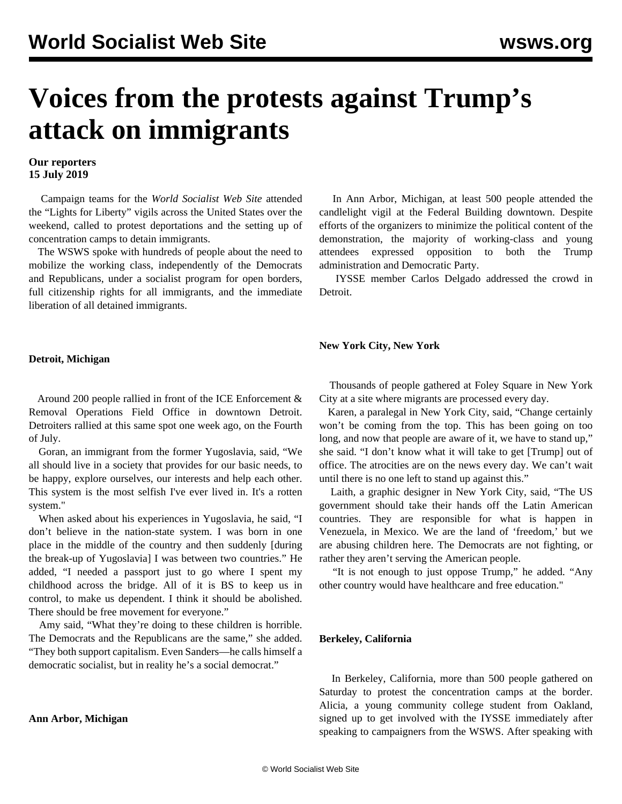# **Voices from the protests against Trump's attack on immigrants**

### **Our reporters 15 July 2019**

 Campaign teams for the *World Socialist Web Site* attended the "Lights for Liberty" vigils across the United States over the weekend, called to protest deportations and the setting up of concentration camps to detain immigrants.

 The WSWS spoke with hundreds of people about the need to mobilize the working class, independently of the Democrats and Republicans, under a socialist program for open borders, full citizenship rights for all immigrants, and the immediate liberation of all detained immigrants.

 In Ann Arbor, Michigan, at least 500 people attended the candlelight vigil at the Federal Building downtown. Despite efforts of the organizers to minimize the political content of the demonstration, the majority of working-class and young attendees expressed opposition to both the Trump administration and Democratic Party.

 IYSSE member Carlos Delgado addressed the crowd in Detroit.

# **Detroit, Michigan**

 Around 200 people rallied in front of the ICE Enforcement & Removal Operations Field Office in downtown Detroit. Detroiters rallied at this same spot one week ago, on the [Fourth](/en/articles/2019/07/05/immi-j05.html) [of July](/en/articles/2019/07/05/immi-j05.html).

 Goran, an immigrant from the former Yugoslavia, said, "We all should live in a society that provides for our basic needs, to be happy, explore ourselves, our interests and help each other. This system is the most selfish I've ever lived in. It's a rotten system."

 When asked about his experiences in Yugoslavia, he said, "I don't believe in the nation-state system. I was born in one place in the middle of the country and then suddenly [during the break-up of Yugoslavia] I was between two countries." He added, "I needed a passport just to go where I spent my childhood across the bridge. All of it is BS to keep us in control, to make us dependent. I think it should be abolished. There should be free movement for everyone."

 Amy said, "What they're doing to these children is horrible. The Democrats and the Republicans are the same," she added. "They both support capitalism. Even Sanders—he calls himself a democratic socialist, but in reality he's a social democrat."

## **Ann Arbor, Michigan**

 Thousands of people gathered at Foley Square in New York City at a site where migrants are processed every day.

 Karen, a paralegal in New York City, said, "Change certainly won't be coming from the top. This has been going on too long, and now that people are aware of it, we have to stand up," she said. "I don't know what it will take to get [Trump] out of office. The atrocities are on the news every day. We can't wait until there is no one left to stand up against this."

 Laith, a graphic designer in New York City, said, "The US government should take their hands off the Latin American countries. They are responsible for what is happen in Venezuela, in Mexico. We are the land of 'freedom,' but we are abusing children here. The Democrats are not fighting, or rather they aren't serving the American people.

 "It is not enough to just oppose Trump," he added. "Any other country would have healthcare and free education."

## **Berkeley, California**

**New York City, New York**

 In Berkeley, California, more than 500 people gathered on Saturday to protest the concentration camps at the border. Alicia, a young community college student from Oakland, signed up to get involved with the IYSSE immediately after speaking to campaigners from the WSWS. After speaking with